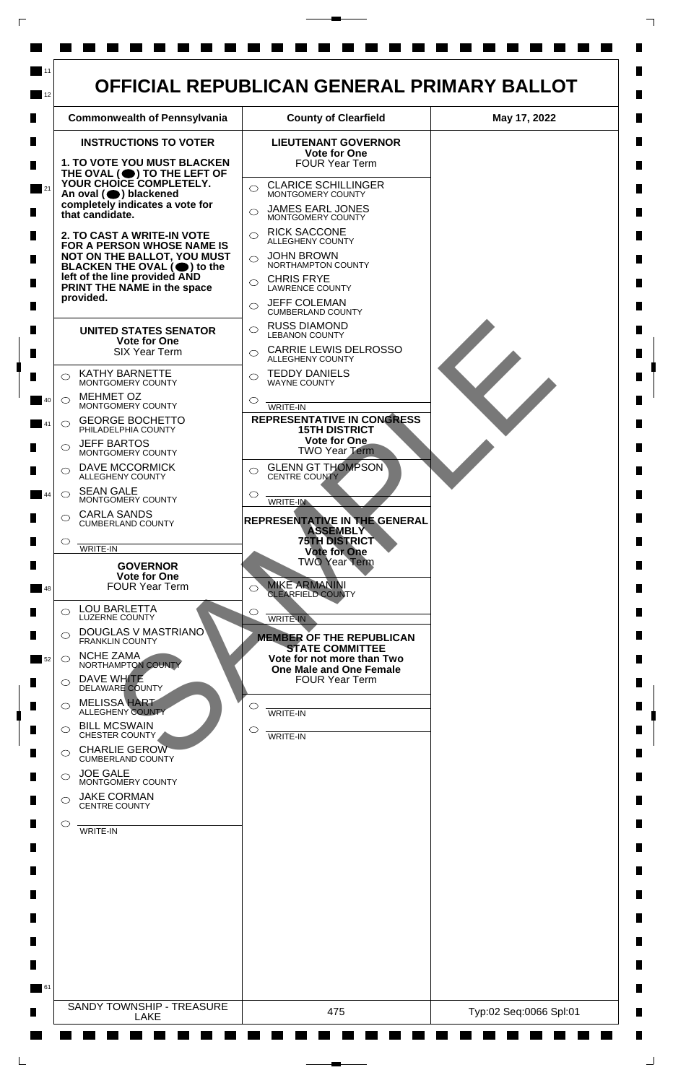

 $\Box$ 

 $\Box$